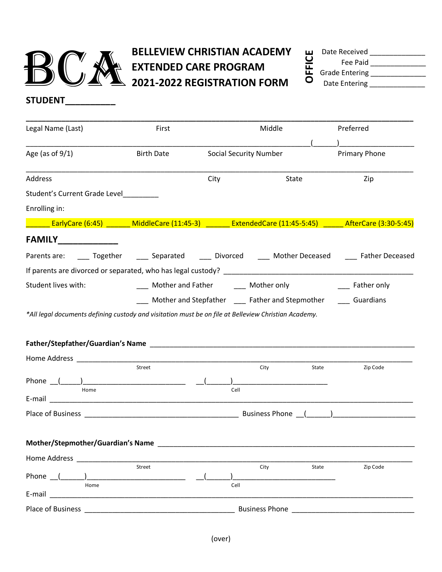

## BELLEVIEW CHRISTIAN ACADEMY<br>EXTENDED CARE PROGRAM<br>2021-2022 REGISTRATION FORM **EXTENDED CARE PROGRAM 2021-2022 REGISTRATION FORM**

| ш      | Date Received         |  |
|--------|-----------------------|--|
| U      | Fee Paid              |  |
| ц<br>ட | <b>Grade Entering</b> |  |
|        | $D = + 5$ $F = + 2$   |  |

Date Entering

**STUDENT\_\_\_\_\_\_\_\_\_\_**

| Legal Name (Last)                                                                                                                                                                                                                    | First                                                  |      | Middle                                            | Preferred         |  |
|--------------------------------------------------------------------------------------------------------------------------------------------------------------------------------------------------------------------------------------|--------------------------------------------------------|------|---------------------------------------------------|-------------------|--|
| Age (as of $9/1$ )                                                                                                                                                                                                                   | <b>Birth Date</b>                                      |      | <b>Social Security Number</b>                     | Primary Phone     |  |
| Address                                                                                                                                                                                                                              |                                                        | City | State                                             | Zip               |  |
| Student's Current Grade Level                                                                                                                                                                                                        |                                                        |      |                                                   |                   |  |
| Enrolling in:                                                                                                                                                                                                                        |                                                        |      |                                                   |                   |  |
| EarlyCare (6:45) _______ MiddleCare (11:45-3) _______ ExtendedCare (11:45-5:45) _____ AfterCare (3:30-5:45)                                                                                                                          |                                                        |      |                                                   |                   |  |
| <b>FAMILY_____________</b>                                                                                                                                                                                                           |                                                        |      |                                                   |                   |  |
| Parents are: _____ Together ______ Separated _____ Divorced _____ Mother Deceased _____ Father Deceased                                                                                                                              |                                                        |      |                                                   |                   |  |
|                                                                                                                                                                                                                                      |                                                        |      |                                                   |                   |  |
| Student lives with:                                                                                                                                                                                                                  | ____ Mother and Father ______ Mother only              |      |                                                   | ____ Father only  |  |
|                                                                                                                                                                                                                                      |                                                        |      | Mother and Stepfather _____ Father and Stepmother | <b>Cuardians</b>  |  |
| *All legal documents defining custody and visitation must be on file at Belleview Christian Academy.                                                                                                                                 |                                                        |      |                                                   |                   |  |
|                                                                                                                                                                                                                                      |                                                        |      |                                                   |                   |  |
|                                                                                                                                                                                                                                      |                                                        |      |                                                   |                   |  |
| Home Address <b>Executive Service Contract Contract Contract Contract Contract Contract Contract Contract Contract Contract Contract Contract Contract Contract Contract Contract Contract Contract Contract Contract Contract C</b> |                                                        |      |                                                   |                   |  |
|                                                                                                                                                                                                                                      | Street                                                 |      | City                                              | Zip Code<br>State |  |
| Home                                                                                                                                                                                                                                 |                                                        | Cell |                                                   |                   |  |
|                                                                                                                                                                                                                                      |                                                        |      |                                                   |                   |  |
|                                                                                                                                                                                                                                      |                                                        |      |                                                   |                   |  |
|                                                                                                                                                                                                                                      |                                                        |      |                                                   |                   |  |
| Mother/Stepmother/Guardian's Name                                                                                                                                                                                                    |                                                        |      |                                                   |                   |  |
| Home Address and the Manuscript of the Manuscript of the Manuscript of the Manuscript of the Manuscript of the                                                                                                                       |                                                        |      |                                                   |                   |  |
|                                                                                                                                                                                                                                      | Street                                                 |      | City                                              | Zip Code<br>State |  |
| Phone $\sqrt{ }$<br>Home                                                                                                                                                                                                             | <u> 2001 - Jan Barat, professor polit</u> ik (h. 1879) | Cell |                                                   |                   |  |
|                                                                                                                                                                                                                                      |                                                        |      |                                                   |                   |  |
|                                                                                                                                                                                                                                      |                                                        |      |                                                   |                   |  |